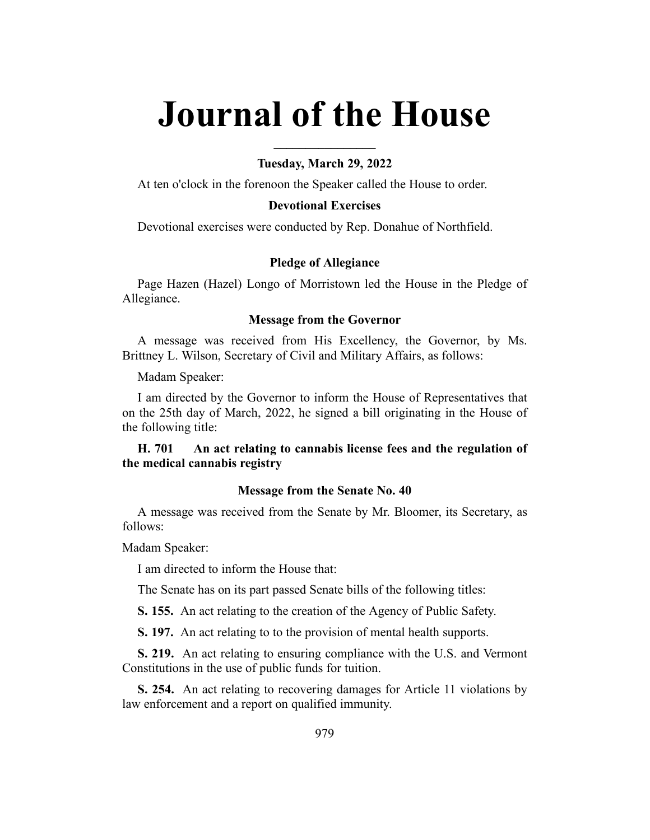# **Journal of the House**

## **Tuesday, March 29, 2022**

**\_\_\_\_\_\_\_\_\_\_\_\_\_\_\_\_**

At ten o'clock in the forenoon the Speaker called the House to order.

## **Devotional Exercises**

Devotional exercises were conducted by Rep. Donahue of Northfield.

## **Pledge of Allegiance**

Page Hazen (Hazel) Longo of Morristown led the House in the Pledge of Allegiance.

#### **Message from the Governor**

A message was received from His Excellency, the Governor, by Ms. Brittney L. Wilson, Secretary of Civil and Military Affairs, as follows:

Madam Speaker:

I am directed by the Governor to inform the House of Representatives that on the 25th day of March, 2022, he signed a bill originating in the House of the following title:

# **H. 701 An act relating to cannabis license fees and the regulation of the medical cannabis registry**

## **Message from the Senate No. 40**

A message was received from the Senate by Mr. Bloomer, its Secretary, as follows:

Madam Speaker:

I am directed to inform the House that:

The Senate has on its part passed Senate bills of the following titles:

**S. 155.** An act relating to the creation of the Agency of Public Safety.

**S. 197.** An act relating to to the provision of mental health supports.

**S. 219.** An act relating to ensuring compliance with the U.S. and Vermont Constitutions in the use of public funds for tuition.

**S. 254.** An act relating to recovering damages for Article 11 violations by law enforcement and a report on qualified immunity.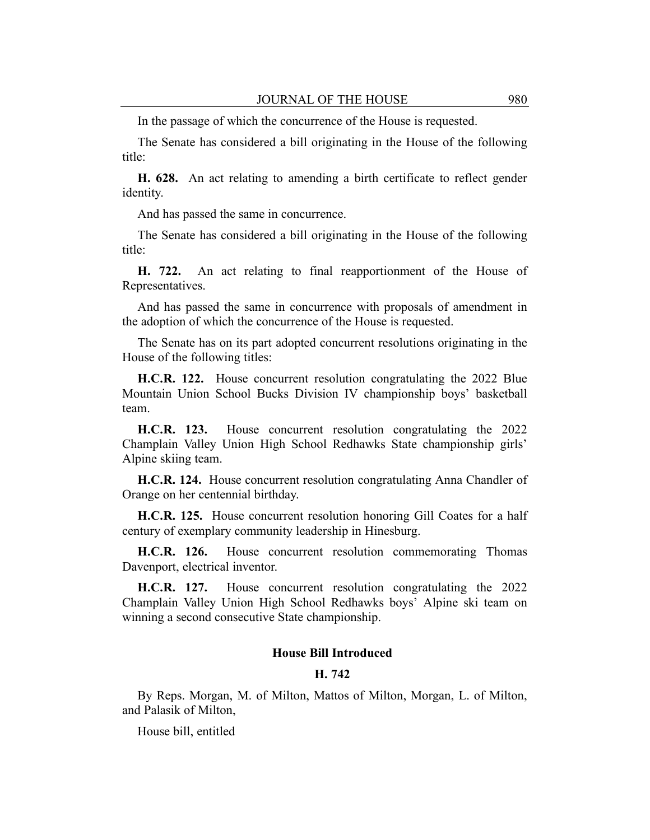In the passage of which the concurrence of the House is requested.

The Senate has considered a bill originating in the House of the following title:

**H. 628.** An act relating to amending a birth certificate to reflect gender identity.

And has passed the same in concurrence.

The Senate has considered a bill originating in the House of the following title:

**H. 722.** An act relating to final reapportionment of the House of Representatives.

And has passed the same in concurrence with proposals of amendment in the adoption of which the concurrence of the House is requested.

The Senate has on its part adopted concurrent resolutions originating in the House of the following titles:

**H.C.R. 122.** House concurrent resolution congratulating the 2022 Blue Mountain Union School Bucks Division IV championship boys' basketball team.

**H.C.R. 123.** House concurrent resolution congratulating the 2022 Champlain Valley Union High School Redhawks State championship girls' Alpine skiing team.

**H.C.R. 124.** House concurrent resolution congratulating Anna Chandler of Orange on her centennial birthday.

**H.C.R. 125.** House concurrent resolution honoring Gill Coates for a half century of exemplary community leadership in Hinesburg.

**H.C.R. 126.** House concurrent resolution commemorating Thomas Davenport, electrical inventor.

**H.C.R. 127.** House concurrent resolution congratulating the 2022 Champlain Valley Union High School Redhawks boys' Alpine ski team on winning a second consecutive State championship.

## **House Bill Introduced**

## **H. 742**

By Reps. Morgan, M. of Milton, Mattos of Milton, Morgan, L. of Milton, and Palasik of Milton,

House bill, entitled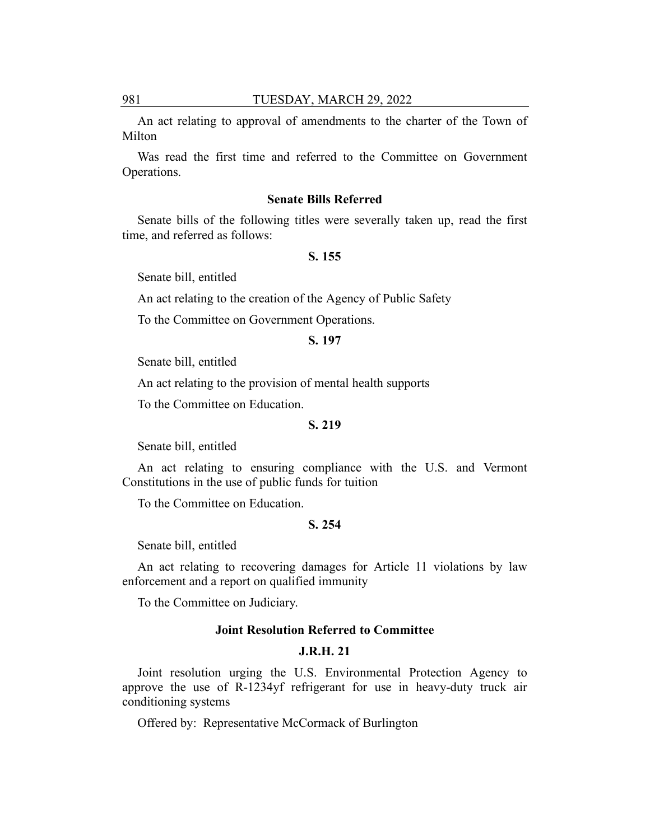An act relating to approval of amendments to the charter of the Town of Milton

Was read the first time and referred to the Committee on Government Operations.

#### **Senate Bills Referred**

Senate bills of the following titles were severally taken up, read the first time, and referred as follows:

## **S. 155**

Senate bill, entitled

An act relating to the creation of the Agency of Public Safety

To the Committee on Government Operations.

## **S. 197**

Senate bill, entitled

An act relating to the provision of mental health supports

To the Committee on Education.

#### **S. 219**

Senate bill, entitled

An act relating to ensuring compliance with the U.S. and Vermont Constitutions in the use of public funds for tuition

To the Committee on Education.

# **S. 254**

Senate bill, entitled

An act relating to recovering damages for Article 11 violations by law enforcement and a report on qualified immunity

To the Committee on Judiciary.

## **Joint Resolution Referred to Committee**

## **J.R.H. 21**

Joint resolution urging the U.S. Environmental Protection Agency to approve the use of R-1234yf refrigerant for use in heavy-duty truck air conditioning systems

Offered by: Representative McCormack of Burlington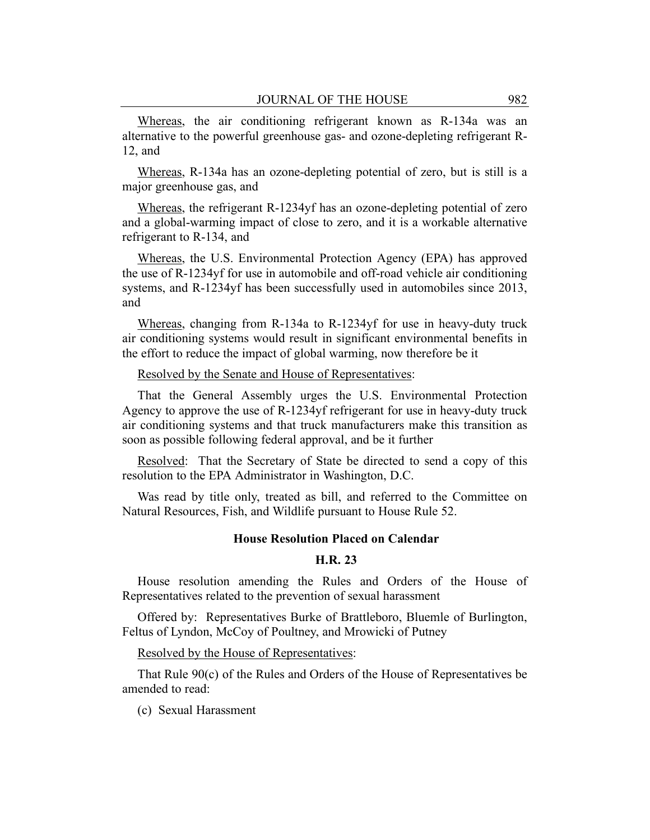Whereas, the air conditioning refrigerant known as R-134a was an alternative to the powerful greenhouse gas- and ozone-depleting refrigerant R-12, and

Whereas, R-134a has an ozone-depleting potential of zero, but is still is a major greenhouse gas, and

Whereas, the refrigerant R-1234yf has an ozone-depleting potential of zero and a global-warming impact of close to zero, and it is a workable alternative refrigerant to R-134, and

Whereas, the U.S. Environmental Protection Agency (EPA) has approved the use of R-1234yf for use in automobile and off-road vehicle air conditioning systems, and R-1234yf has been successfully used in automobiles since 2013, and

Whereas, changing from R-134a to R-1234yf for use in heavy-duty truck air conditioning systems would result in significant environmental benefits in the effort to reduce the impact of global warming, now therefore be it

## Resolved by the Senate and House of Representatives:

That the General Assembly urges the U.S. Environmental Protection Agency to approve the use of R-1234yf refrigerant for use in heavy-duty truck air conditioning systems and that truck manufacturers make this transition as soon as possible following federal approval, and be it further

Resolved: That the Secretary of State be directed to send a copy of this resolution to the EPA Administrator in Washington, D.C.

Was read by title only, treated as bill, and referred to the Committee on Natural Resources, Fish, and Wildlife pursuant to House Rule 52.

#### **House Resolution Placed on Calendar**

## **H.R. 23**

House resolution amending the Rules and Orders of the House of Representatives related to the prevention of sexual harassment

Offered by: Representatives Burke of Brattleboro, Bluemle of Burlington, Feltus of Lyndon, McCoy of Poultney, and Mrowicki of Putney

Resolved by the House of Representatives:

That Rule 90(c) of the Rules and Orders of the House of Representatives be amended to read:

(c) Sexual Harassment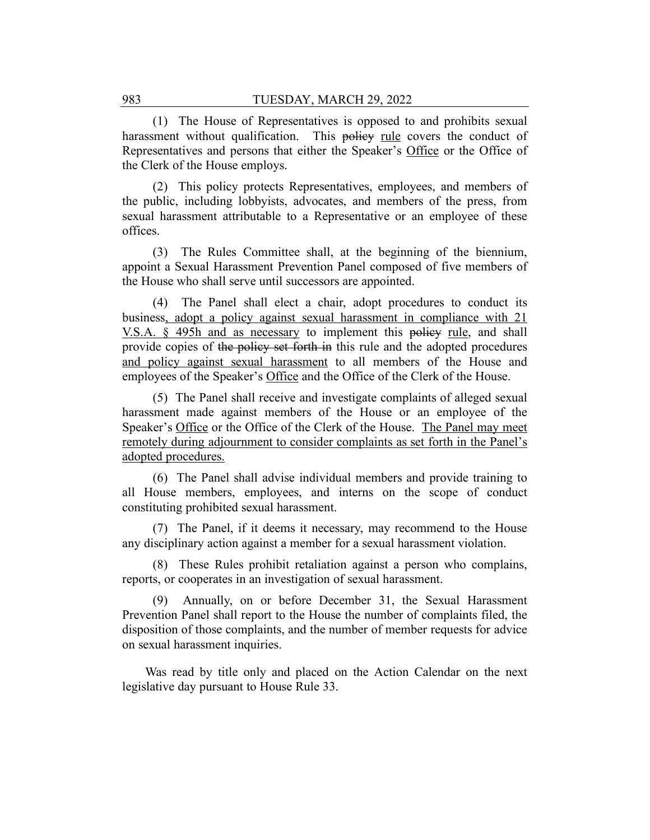(1) The House of Representatives is opposed to and prohibits sexual harassment without qualification. This policy rule covers the conduct of Representatives and persons that either the Speaker's Office or the Office of the Clerk of the House employs.

(2) This policy protects Representatives, employees, and members of the public, including lobbyists, advocates, and members of the press, from sexual harassment attributable to a Representative or an employee of these offices.

(3) The Rules Committee shall, at the beginning of the biennium, appoint a Sexual Harassment Prevention Panel composed of five members of the House who shall serve until successors are appointed.

(4) The Panel shall elect a chair, adopt procedures to conduct its business, adopt a policy against sexual harassment in compliance with 21 V.S.A. § 495h and as necessary to implement this policy rule, and shall provide copies of the policy set forth in this rule and the adopted procedures and policy against sexual harassment to all members of the House and employees of the Speaker's Office and the Office of the Clerk of the House.

(5) The Panel shall receive and investigate complaints of alleged sexual harassment made against members of the House or an employee of the Speaker's Office or the Office of the Clerk of the House. The Panel may meet remotely during adjournment to consider complaints as set forth in the Panel's adopted procedures.

(6) The Panel shall advise individual members and provide training to all House members, employees, and interns on the scope of conduct constituting prohibited sexual harassment.

(7) The Panel, if it deems it necessary, may recommend to the House any disciplinary action against a member for a sexual harassment violation.

(8) These Rules prohibit retaliation against a person who complains, reports, or cooperates in an investigation of sexual harassment.

(9) Annually, on or before December 31, the Sexual Harassment Prevention Panel shall report to the House the number of complaints filed, the disposition of those complaints, and the number of member requests for advice on sexual harassment inquiries.

Was read by title only and placed on the Action Calendar on the next legislative day pursuant to House Rule 33.